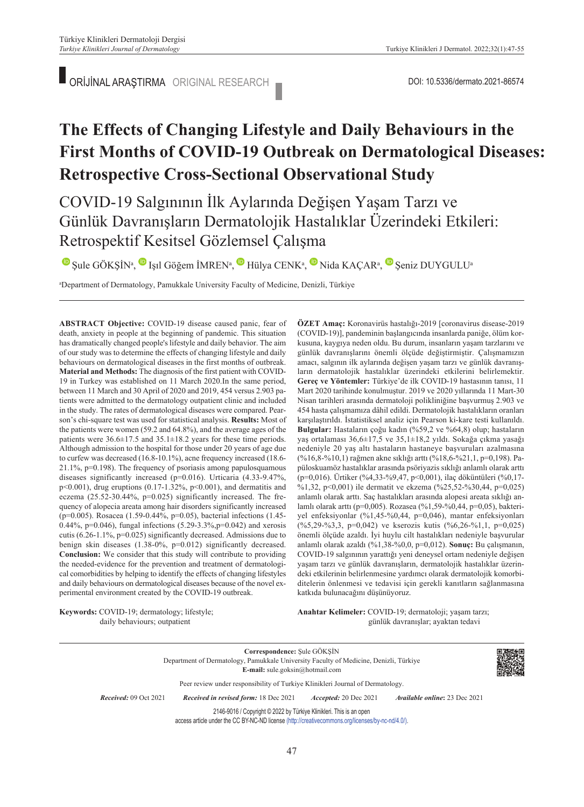ORİJİNAL ARAŞTIRMA ORIGINAL RESEARCH DOI: 10.5336/dermato.2021-86574

# **The Effects of Changing Lifestyle and Daily Behaviours in the First Months of COVID-19 Outbreak on Dermatological Diseases: Retrospective Cross-Sectional Observational Study**

COVID-19 Salgınının İlk Aylarında Değişen Yaşam Tarzı ve Günlük Davranışların Dermatolojik Hastalıklar Üzerindeki Etkileri: Retrospektif Kesitsel Gözlemsel Çalışma

UŞule GÖKŞİN<sup>a</sup>, U Işıl Göğem İMREN<sup>a</sup>, U Hülya CENK<sup>a</sup>, U Nida KAÇAR<sup>a</sup>, U Şeniz DUYGULU<sup>a</sup>

a Department of Dermatology, Pamukkale University Faculty of Medicine, Denizli, Türkiye

**ABS TRACT Objective:** COVID-19 disease caused panic, fear of death, anxiety in people at the beginning of pandemic. This situation has dramatically changed people's lifestyle and daily behavior. The aim of our study was to determine the effects of changing lifestyle and daily behaviours on dermatological diseases in the first months of outbreak. **Material and Methods:** The diagnosis of the first patient with COVID-19 in Turkey was established on 11 March 2020.In the same period, between 11 March and 30 April of 2020 and 2019, 454 versus 2.903 patients were admitted to the dermatology outpatient clinic and included in the study. The rates of dermatological diseases were compared. Pearson's chi-square test was used for statistical analysis. **Results:** Most of the patients were women (59.2 and 64.8%), and the average ages of the patients were 36.6±17.5 and 35.1±18.2 years for these time periods. Although admission to the hospital for those under 20 years of age due to curfew was decreased (16.8-10.1%), acne frequency increased (18.6- 21.1%, p=0.198). The frequency of psoriasis among papulosquamous diseases significantly increased (p=0.016). Urticaria (4.33-9.47%, p<0.001), drug eruptions (0.17-1.32%, p<0.001), and dermatitis and eczema (25.52-30.44%, p=0.025) significantly increased. The frequency of alopecia areata among hair disorders significantly increased (p=0.005). Rosacea (1.59-0.44%, p=0.05), bacterial infections (1.45- 0.44%, p=0.046), fungal infections (5.29-3.3%,p=0.042) and xerosis cutis (6.26-1.1%, p=0.025) significantly decreased. Admissions due to benign skin diseases (1.38-0%, p=0.012) significantly decreased. **Conclusion:** We consider that this study will contribute to providing the needed-evidence for the prevention and treatment of dermatological comorbidities by helping to identify the effects of changing lifestyles and daily behaviours on dermatological diseases because of the novel experimental environment created by the COVID‐19 outbreak.

**Keywords:** COVID-19; dermatology; lifestyle; daily behaviours; outpatient

**ÖZET Amaç:** Koronavirüs hastalığı-2019 [coronavirus disease-2019 (COVID-19)], pandeminin başlangıcında insanlarda paniğe, ölüm korkusuna, kaygıya neden oldu. Bu durum, insanların yaşam tarzlarını ve günlük davranışlarını önemli ölçüde değiştirmiştir. Çalışmamızın amacı, salgının ilk aylarında değişen yaşam tarzı ve günlük davranışların dermatolojik hastalıklar üzerindeki etkilerini belirlemektir. **Gereç ve Yöntemler:** Türkiye'de ilk COVID-19 hastasının tanısı, 11 Mart 2020 tarihinde konulmuştur. 2019 ve 2020 yıllarında 11 Mart-30 Nisan tarihleri arasında dermatoloji polikliniğine başvurmuş 2.903 ve 454 hasta çalışmamıza dâhil edildi. Dermatolojik hastalıkların oranları karşılaştırıldı. İstatistiksel analiz için Pearson ki-kare testi kullanıldı. **Bulgular:** Hastaların çoğu kadın (%59,2 ve %64,8) olup; hastaların yaş ortalaması 36,6±17,5 ve 35,1±18,2 yıldı. Sokağa çıkma yasağı nedeniyle 20 yaş altı hastaların hastaneye başvuruları azalmasına (%16,8-%10,1) rağmen akne sıklığı arttı (%18,6-%21,1, p=0,198). Papüloskuamöz hastalıklar arasında psöriyazis sıklığı anlamlı olarak arttı (p=0,016). Ürtiker (%4,33-%9,47, p<0,001), ilaç döküntüleri (%0,17- %1,32, p<0,001) ile dermatit ve ekzema (%25,52-%30,44, p=0,025) anlamlı olarak arttı. Saç hastalıkları arasında alopesi areata sıklığı anlamlı olarak arttı (p=0,005). Rozasea (%1,59-%0,44, p=0,05), bakteriyel enfeksiyonlar (%1,45-%0,44, p=0,046), mantar enfeksiyonları (%5,29-%3,3, p=0,042) ve kserozis kutis (%6,26-%1,1, p=0,025) önemli ölçüde azaldı. İyi huylu cilt hastalıkları nedeniyle başvurular anlamlı olarak azaldı (%1,38-%0,0, p=0,012). **Sonuç:** Bu çalışmanın, COVID-19 salgınının yarattığı yeni deneysel ortam nedeniyle değişen yaşam tarzı ve günlük davranışların, dermatolojik hastalıklar üzerindeki etkilerinin belirlenmesine yardımcı olarak dermatolojik komorbiditelerin önlenmesi ve tedavisi için gerekli kanıtların sağlanmasına katkıda bulunacağını düşünüyoruz.

Anahtar Kelimeler: COVID-19; dermatoloji; yaşam tarzı; günlük davranışlar; ayaktan tedavi

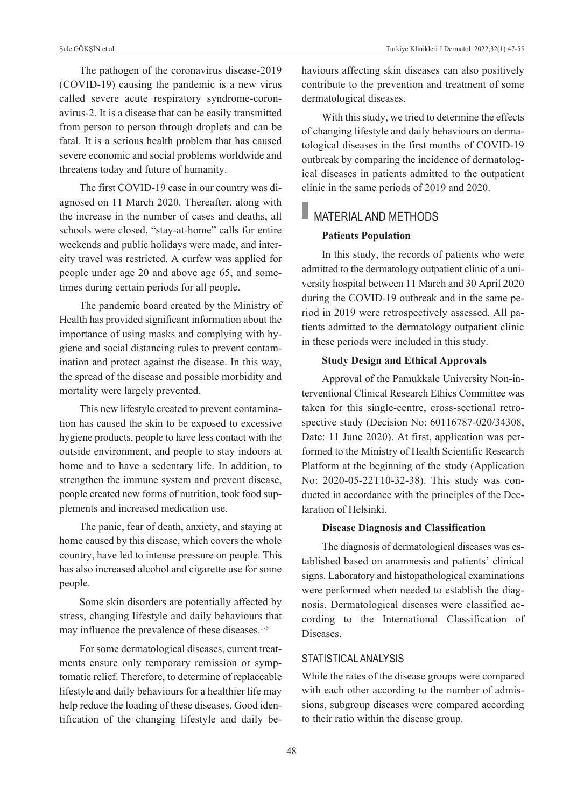Şule GÖKŞİN et al. Turkiye Klinikleri J Dermatol. 2022;32(1):47-55

The pathogen of the coronavirus disease-2019 (COVID-19) causing the pandemic is a new virus called severe acute respiratory syndrome-coronavirus-2. It is a disease that can be easily transmitted from person to person through droplets and can be fatal. It is a serious health problem that has caused severe economic and social problems worldwide and threatens today and future of humanity.

The first COVID-19 case in our country was diagnosed on 11 March 2020. Thereafter, along with the increase in the number of cases and deaths, all schools were closed, "stay-at-home" calls for entire weekends and public holidays were made, and intercity travel was restricted. A curfew was applied for people under age 20 and above age 65, and sometimes during certain periods for all people.

The pandemic board created by the Ministry of Health has provided significant information about the importance of using masks and complying with hygiene and social distancing rules to prevent contamination and protect against the disease. In this way, the spread of the disease and possible morbidity and mortality were largely prevented.

This new lifestyle created to prevent contamination has caused the skin to be exposed to excessive hygiene products, people to have less contact with the outside environment, and people to stay indoors at home and to have a sedentary life. In addition, to strengthen the immune system and prevent disease, people created new forms of nutrition, took food supplements and increased medication use.

The panic, fear of death, anxiety, and staying at home caused by this disease, which covers the whole country, have led to intense pressure on people. This has also increased alcohol and cigarette use for some people.

Some skin disorders are potentially affected by stress, changing lifestyle and daily behaviours that may influence the prevalence of these diseases.<sup>1-5</sup>

For some dermatological diseases, current treatments ensure only temporary remission or symptomatic relief. Therefore, to determine of replaceable lifestyle and daily behaviours for a healthier life may help reduce the loading of these diseases. Good identification of the changing lifestyle and daily behaviours affecting skin diseases can also positively contribute to the prevention and treatment of some dermatological diseases.

With this study, we tried to determine the effects of changing lifestyle and daily behaviours on dermatological diseases in the first months of COVID-19 outbreak by comparing the incidence of dermatological diseases in patients admitted to the outpatient clinic in the same periods of 2019 and 2020.

### MATERIAL AND METHODS

### **Patients Population**

In this study, the records of patients who were admitted to the dermatology outpatient clinic of a university hospital between 11 March and 30 April 2020 during the COVID-19 outbreak and in the same period in 2019 were retrospectively assessed. All patients admitted to the dermatology outpatient clinic in these periods were included in this study.

### **Study Design and Ethical Approvals**

Approval of the Pamukkale University Non-interventional Clinical Research Ethics Committee was taken for this single-centre, cross-sectional retrospective study (Decision No: 60116787-020/34308, Date: 11 June 2020). At first, application was performed to the Ministry of Health Scientific Research Platform at the beginning of the study (Application No: 2020-05-22T10-32-38). This study was conducted in accordance with the principles of the Declaration of Helsinki.

### **Disease Diagnosis and Classification**

The diagnosis of dermatological diseases was established based on anamnesis and patients' clinical signs. Laboratory and histopathological examinations were performed when needed to establish the diagnosis. Dermatological diseases were classified according to the International Classification of Diseases.

### STATISTICAL ANALYSIS

While the rates of the disease groups were compared with each other according to the number of admissions, subgroup diseases were compared according to their ratio within the disease group.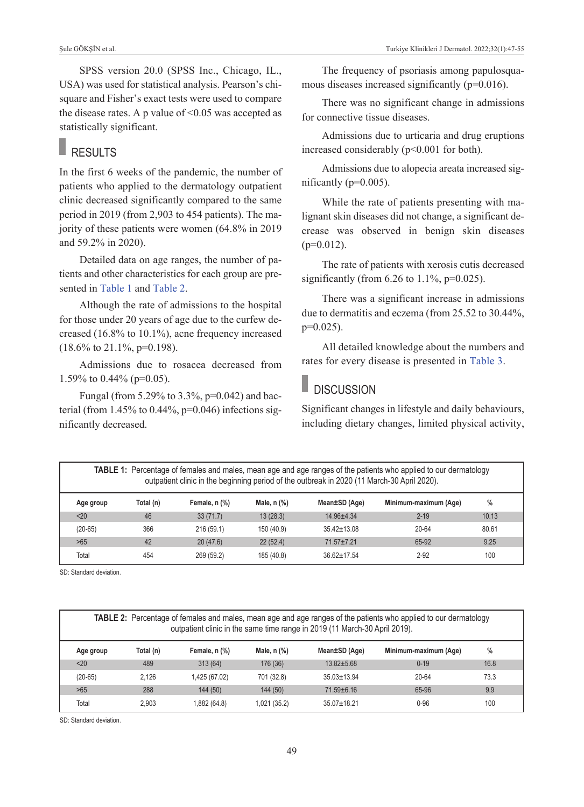SPSS version 20.0 (SPSS Inc., Chicago, IL., USA) was used for statistical analysis. Pearson's chisquare and Fisher's exact tests were used to compare the disease rates. A p value of  $\leq 0.05$  was accepted as statistically significant.

# RESULTS

In the first 6 weeks of the pandemic, the number of patients who applied to the dermatology outpatient clinic decreased significantly compared to the same period in 2019 (from 2,903 to 454 patients). The majority of these patients were women (64.8% in 2019 and 59.2% in 2020).

Detailed data on age ranges, the number of patients and other characteristics for each group are presented in [Table 1](#page-2-0) and [Table 2.](#page-2-1)

Although the rate of admissions to the hospital for those under 20 years of age due to the curfew decreased (16.8% to 10.1%), acne frequency increased  $(18.6\% \text{ to } 21.1\%, \text{p=0.198}).$ 

Admissions due to rosacea decreased from 1.59% to 0.44% ( $p=0.05$ ).

Fungal (from 5.29% to 3.3%, p=0.042) and bacterial (from  $1.45\%$  to  $0.44\%$ ,  $p=0.046$ ) infections significantly decreased.

The frequency of psoriasis among papulosquamous diseases increased significantly (p=0.016).

There was no significant change in admissions for connective tissue diseases.

Admissions due to urticaria and drug eruptions increased considerably (p<0.001 for both).

Admissions due to alopecia areata increased significantly (p=0.005).

While the rate of patients presenting with malignant skin diseases did not change, a significant decrease was observed in benign skin diseases  $(p=0.012)$ .

The rate of patients with xerosis cutis decreased significantly (from  $6.26$  to  $1.1\%$ ,  $p=0.025$ ).

There was a significant increase in admissions due to dermatitis and eczema (from 25.52 to 30.44%, p=0.025).

All detailed knowledge about the numbers and rates for every disease is presented in [Table 3.](#page-3-0)

### <span id="page-2-0"></span>**DISCUSSION**

<span id="page-2-1"></span>Significant changes in lifestyle and daily behaviours, including dietary changes, limited physical activity,

**TABLE 1:** Percentage of females and males, mean age and age ranges of the patients who applied to our dermatology outpatient clinic in the beginning period of the outbreak in 2020 (11 March-30 April 2020).

| Age group | Total (n) | Female, n (%) | Male, n (%) | Mean±SD (Age)     | Minimum-maximum (Age) | $\%$  |  |
|-----------|-----------|---------------|-------------|-------------------|-----------------------|-------|--|
| $20$      | 46        | 33(71.7)      | 13(28.3)    | $14.96 + 4.34$    | $2 - 19$              | 10.13 |  |
| $(20-65)$ | 366       | 216(59.1)     | 150 (40.9)  | $35.42 \pm 13.08$ | 20-64                 | 80.61 |  |
| >65       | 42        | 20(47.6)      | 22(52.4)    | $71.57 + 7.21$    | 65-92                 | 9.25  |  |
| Total     | 454       | 269 (59.2)    | 185 (40.8)  | $36.62 \pm 17.54$ | $2 - 92$              | 100   |  |

SD: Standard deviation.

| <b>TABLE 2:</b> Percentage of females and males, mean age and age ranges of the patients who applied to our dermatology<br>outpatient clinic in the same time range in 2019 (11 March-30 April 2019). |           |               |               |                   |                       |      |  |  |
|-------------------------------------------------------------------------------------------------------------------------------------------------------------------------------------------------------|-----------|---------------|---------------|-------------------|-----------------------|------|--|--|
| Age group                                                                                                                                                                                             | Total (n) | Female, n (%) | Male, $n$ $%$ | Mean±SD (Age)     | Minimum-maximum (Age) | %    |  |  |
| < 20                                                                                                                                                                                                  | 489       | 313(64)       | 176 (36)      | $13.82 + 5.68$    | $0 - 19$              | 16.8 |  |  |
| $(20-65)$                                                                                                                                                                                             | 2.126     | 1,425 (67.02) | 701 (32.8)    | $35.03 \pm 13.94$ | 20-64                 | 73.3 |  |  |
| >65                                                                                                                                                                                                   | 288       | 144 (50)      | 144(50)       | $71.59 \pm 6.16$  | 65-96                 | 9.9  |  |  |
| Total                                                                                                                                                                                                 | 2.903     | 1,882 (64.8)  | 1,021 (35.2)  | $35.07 \pm 18.21$ | $0 - 96$              | 100  |  |  |

SD: Standard deviation.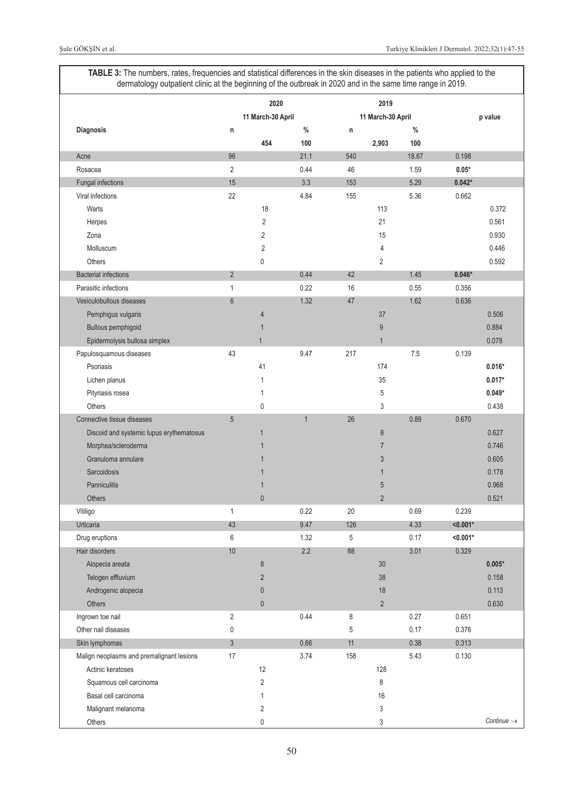<span id="page-3-0"></span>**TABLE 3:** The numbers, rates, frequencies and statistical differences in the skin diseases in the patients who applied to the dermatology outpatient clinic at the beginning of the outbreak in 2020 and in the same time range in 2019.

|                                           | 2020           |                   |              |             | 2019              |       |            |                        |  |
|-------------------------------------------|----------------|-------------------|--------------|-------------|-------------------|-------|------------|------------------------|--|
|                                           |                | 11 March-30 April |              |             | 11 March-30 April |       |            | p value                |  |
| Diagnosis                                 | n              |                   | $\%$         | $\mathsf n$ |                   | $\%$  |            |                        |  |
|                                           |                | 454               | 100          |             | 2,903             | 100   |            |                        |  |
| Acne                                      | 96             |                   | 21.1         | 540         |                   | 18.67 | 0.198      |                        |  |
| Rosacea                                   | $\overline{2}$ |                   | 0.44         | 46          |                   | 1.59  | $0.05*$    |                        |  |
| Fungal infections                         | 15             |                   | 3.3          | 153         |                   | 5.29  | $0.042*$   |                        |  |
| Viral infections                          | 22             |                   | 4.84         | 155         |                   | 5.36  | 0.662      |                        |  |
| Warts                                     |                | 18                |              |             | 113               |       |            | 0.372                  |  |
| Herpes                                    |                | $\overline{2}$    |              |             | 21                |       |            | 0.561                  |  |
| Zona                                      |                | $\overline{2}$    |              |             | 15                |       |            | 0.930                  |  |
| Molluscum                                 |                | $\overline{2}$    |              |             | 4                 |       |            | 0.446                  |  |
| Others                                    |                | $\pmb{0}$         |              |             | $\overline{2}$    |       |            | 0.592                  |  |
| <b>Bacterial infections</b>               | $\overline{2}$ |                   | 0.44         | 42          |                   | 1.45  | $0.046*$   |                        |  |
| Parasitic infections                      | 1              |                   | 0.22         | 16          |                   | 0.55  | 0.356      |                        |  |
| Vesiculobullous diseases                  | $6\phantom{1}$ |                   | 1.32         | 47          |                   | 1.62  | 0.636      |                        |  |
| Pemphigus vulgaris                        |                | $\overline{4}$    |              |             | 37                |       |            | 0.506                  |  |
| Bullous pemphigoid                        |                | $\overline{1}$    |              |             | $\overline{9}$    |       |            | 0.884                  |  |
| Epidermolysis bullosa simplex             |                | $\mathbf{1}$      |              |             | $\mathbf{1}$      |       |            | 0.078                  |  |
| Papulosquamous diseases                   | 43             |                   | 9.47         | 217         |                   | 7.5   | 0.139      |                        |  |
| Psoriasis                                 |                | 41                |              |             | 174               |       |            | $0.016*$               |  |
| Lichen planus                             |                | $\mathbf{1}$      |              |             | 35                |       |            | $0.017*$               |  |
| Pityriasis rosea                          |                | $\mathbf{1}$      |              |             | 5                 |       |            | $0.049*$               |  |
| Others                                    |                | $\mathbf 0$       |              |             | 3                 |       |            | 0.438                  |  |
| Connective tissue diseases                | 5              |                   | $\mathbf{1}$ | 26          |                   | 0.89  | 0.670      |                        |  |
| Discoid and systemic lupus erythematosus  |                | $\mathbf{1}$      |              |             | $\bf 8$           |       |            | 0.627                  |  |
| Morphea/scleroderma                       |                | 1                 |              |             | $\overline{7}$    |       |            | 0.746                  |  |
| Granuloma annulare                        |                | $\overline{1}$    |              |             | 3                 |       |            | 0.605                  |  |
| Sarcoidosis                               |                | 1                 |              |             | $\mathbf{1}$      |       |            | 0.178                  |  |
| Panniculitis                              |                | $\mathbf 1$       |              |             | 5                 |       |            | 0.968                  |  |
| <b>Others</b>                             |                | $\mathbf{0}$      |              |             | $\overline{2}$    |       |            | 0.521                  |  |
| Vitiligo                                  | 1              |                   | 0.22         | 20          |                   | 0.69  | 0.239      |                        |  |
| Urticaria                                 | 43             |                   | 9.47         | 126         |                   | 4.33  | $< 0.001*$ |                        |  |
| Drug eruptions                            | 6              |                   | 1.32         | 5           |                   | 0.17  | $< 0.001*$ |                        |  |
| Hair disorders                            | $10$           |                   | 2.2          | 88          |                   | 3.01  | 0.329      |                        |  |
| Alopecia areata                           |                | $\bf 8$           |              |             | $30\,$            |       |            | $0.005*$               |  |
| Telogen effluvium                         |                | $\overline{2}$    |              |             | $38\,$            |       |            | 0.158                  |  |
| Androgenic alopecia                       |                | $\pmb{0}$         |              |             | 18                |       |            | 0.113                  |  |
| Others                                    |                | $\pmb{0}$         |              |             | $\overline{2}$    |       |            | 0.630                  |  |
| Ingrown toe nail                          | $\overline{2}$ |                   | 0.44         | 8           |                   | 0.27  | 0.651      |                        |  |
| Other nail diseases                       | 0              |                   |              | 5           |                   | 0.17  | 0.376      |                        |  |
| Skin lymphomas                            | $\overline{3}$ |                   | 0.66         | 11          |                   | 0.38  | 0.313      |                        |  |
| Malign neoplasms and premalignant lesions | 17             |                   | 3.74         | 158         |                   | 5.43  | 0.130      |                        |  |
| Actinic keratoses                         |                | 12                |              |             | 128               |       |            |                        |  |
| Squamous cell carcinoma                   |                | $\overline{2}$    |              |             | 8                 |       |            |                        |  |
| Basal cell carcinoma                      |                | $\mathbf{1}$      |              |             | $16\,$            |       |            |                        |  |
| Malignant melanoma                        |                | $\overline{2}$    |              |             | 3                 |       |            |                        |  |
| Others                                    |                | $\pmb{0}$         |              |             | 3                 |       |            | Continue $\rightarrow$ |  |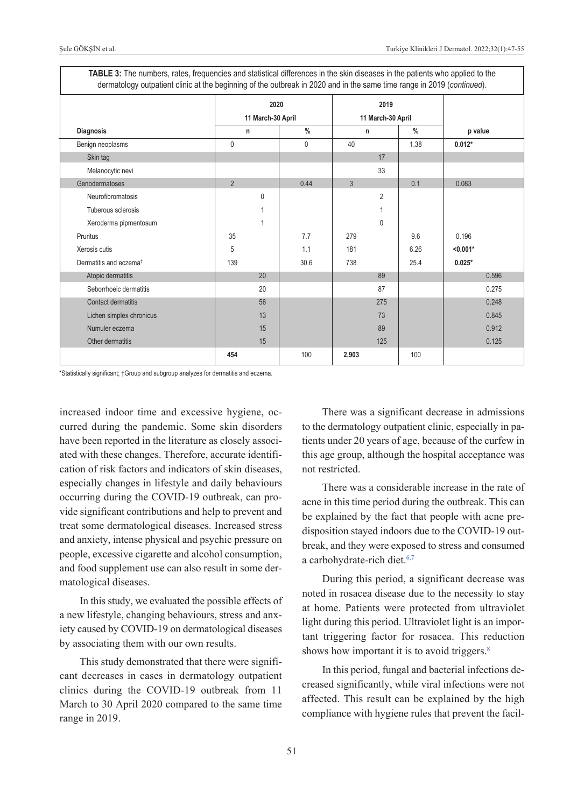| dermatology outpatient clinic at the beginning of the outbreak in 2020 and in the same time range in 2019 (continued). |                           |                           |                |               |            |  |  |  |  |
|------------------------------------------------------------------------------------------------------------------------|---------------------------|---------------------------|----------------|---------------|------------|--|--|--|--|
|                                                                                                                        | 2020<br>11 March-30 April | 2019<br>11 March-30 April |                |               |            |  |  |  |  |
| Diagnosis                                                                                                              | n                         | $\frac{0}{0}$             | n              | $\frac{0}{0}$ | p value    |  |  |  |  |
| Benign neoplasms                                                                                                       | $\mathbf{0}$              | $\mathbf{0}$              | 40             | 1.38          | $0.012*$   |  |  |  |  |
| Skin tag                                                                                                               |                           |                           | 17             |               |            |  |  |  |  |
| Melanocytic nevi                                                                                                       |                           |                           | 33             |               |            |  |  |  |  |
| Genodermatoses                                                                                                         | $\overline{2}$            | 0.44                      | 3              | 0.1           | 0.083      |  |  |  |  |
| Neurofibromatosis                                                                                                      | 0                         |                           | $\overline{2}$ |               |            |  |  |  |  |
| Tuberous sclerosis                                                                                                     |                           |                           |                |               |            |  |  |  |  |
| Xeroderma pipmentosum                                                                                                  | 1                         |                           | 0              |               |            |  |  |  |  |
| Pruritus                                                                                                               | 35                        | 7.7                       | 279            | 9.6           | 0.196      |  |  |  |  |
| Xerosis cutis                                                                                                          | 5                         | 1.1                       | 181            | 6.26          | $< 0.001*$ |  |  |  |  |
| Dermatitis and eczema <sup>t</sup>                                                                                     | 139                       | 30.6                      | 738            | 25.4          | $0.025*$   |  |  |  |  |
| Atopic dermatitis                                                                                                      | 20                        |                           | 89             |               | 0.596      |  |  |  |  |
| Seborrhoeic dermatitis                                                                                                 | 20                        |                           | 87             |               | 0.275      |  |  |  |  |
| <b>Contact dermatitis</b>                                                                                              | 56                        |                           | 275            |               | 0.248      |  |  |  |  |
| Lichen simplex chronicus                                                                                               | 13                        |                           | 73             |               | 0.845      |  |  |  |  |
| Numuler eczema                                                                                                         | 15                        |                           | 89             |               | 0.912      |  |  |  |  |
| Other dermatitis                                                                                                       | 15                        |                           | 125            |               | 0.125      |  |  |  |  |
|                                                                                                                        | 454                       | 100                       | 2,903          | 100           |            |  |  |  |  |

**TABLE 3:** The numbers, rates, frequencies and statistical differences in the skin diseases in the patients who applied to the dermatology outpatient clinic at the beginning of the outbreak in 2020 and in the same time range in 2019 (*continued*).

\*Statistically significant; †Group and subgroup analyzes for dermatitis and eczema.

increased indoor time and excessive hygiene, occurred during the pandemic. Some skin disorders have been reported in the literature as closely associated with these changes. Therefore, accurate identification of risk factors and indicators of skin diseases, especially changes in lifestyle and daily behaviours occurring during the COVID-19 outbreak, can provide significant contributions and help to prevent and treat some dermatological diseases. Increased stress and anxiety, intense physical and psychic pressure on people, excessive cigarette and alcohol consumption, and food supplement use can also result in some dermatological diseases.

In this study, we evaluated the possible effects of a new lifestyle, changing behaviours, stress and anxiety caused by COVID-19 on dermatological diseases by associating them with our own results.

This study demonstrated that there were significant decreases in cases in dermatology outpatient clinics during the COVID-19 outbreak from 11 March to 30 April 2020 compared to the same time range in 2019.

There was a significant decrease in admissions to the dermatology outpatient clinic, especially in patients under 20 years of age, because of the curfew in this age group, although the hospital acceptance was not restricted.

There was a considerable increase in the rate of acne in this time period during the outbreak. This can be explained by the fact that people with acne predisposition stayed indoors due to the COVID-19 outbreak, and they were exposed to stress and consumed a carbohydrate-rich diet.<sup>6,7</sup>

During this period, a significant decrease was noted in rosacea disease due to the necessity to stay at home. Patients were protected from ultraviolet light during this period. Ultraviolet light is an important triggering factor for rosacea. This reduction shows how important it is to avoid triggers.<sup>8</sup>

In this period, fungal and bacterial infections decreased significantly, while viral infections were not affected. This result can be explained by the high compliance with hygiene rules that prevent the facil-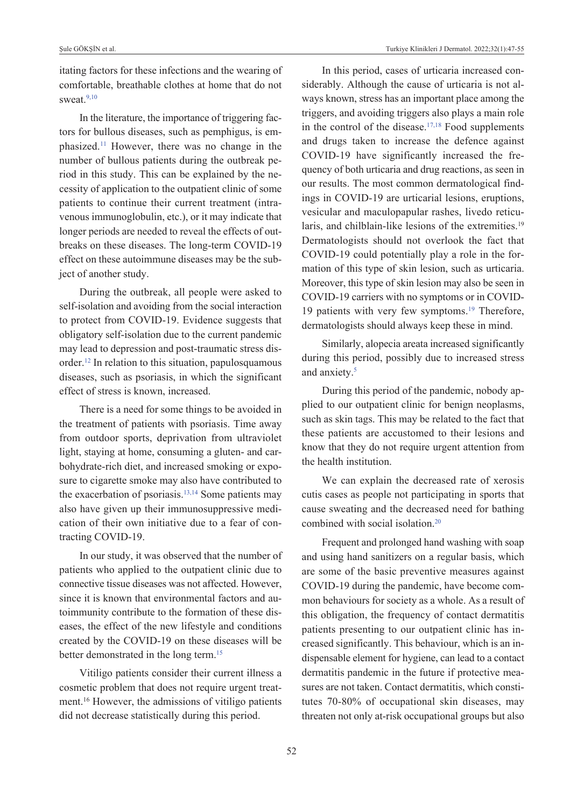itating factors for these infections and the wearing of comfortable, breathable clothes at home that do not sweat. $9,10$ 

In the literature, the importance of triggering factors for bullous diseases, such as pemphigus, is emphasized[.11](#page-8-0) However, there was no change in the number of bullous patients during the outbreak period in this study. This can be explained by the necessity of application to the outpatient clinic of some patients to continue their current treatment (intravenous immunoglobulin, etc.), or it may indicate that longer periods are needed to reveal the effects of outbreaks on these diseases. The long-term COVID-19 effect on these autoimmune diseases may be the subject of another study.

During the outbreak, all people were asked to self-isolation and avoiding from the social interaction to protect from COVID-19. Evidence suggests that obligatory self-isolation due to the current pandemic may lead to depression and post-traumatic stress disorder[.12](#page-8-0) In relation to this situation, papulosquamous diseases, such as psoriasis, in which the significant effect of stress is known, increased.

There is a need for some things to be avoided in the treatment of patients with psoriasis. Time away from outdoor sports, deprivation from ultraviolet light, staying at home, consuming a gluten- and carbohydrate-rich diet, and increased smoking or exposure to cigarette smoke may also have contributed to the exacerbation of psoriasis.<sup>13,14</sup> Some patients may also have given up their immunosuppressive medication of their own initiative due to a fear of contracting COVID-19.

In our study, it was observed that the number of patients who applied to the outpatient clinic due to connective tissue diseases was not affected. However, since it is known that environmental factors and autoimmunity contribute to the formation of these diseases, the effect of the new lifestyle and conditions created by the COVID-19 on these diseases will be better demonstrated in the long term[.15](#page-8-0)

Vitiligo patients consider their current illness a cosmetic problem that does not require urgent treatment.16 However, the admissions of vitiligo patients did not decrease statistically during this period.

In this period, cases of urticaria increased considerably. Although the cause of urticaria is not always known, stress has an important place among the triggers, and avoiding triggers also plays a main role in the control of the disease. $17,18$  Food supplements and drugs taken to increase the defence against COVID-19 have significantly increased the frequency of both urticaria and drug reactions, as seen in our results. The most common dermatological findings in COVID-19 are urticarial lesions, eruptions, vesicular and maculopapular rashes, livedo reticularis, and chilblain-like lesions of the extremities.<sup>19</sup> Dermatologists should not overlook the fact that COVID-19 could potentially play a role in the formation of this type of skin lesion, such as urticaria. Moreover, this type of skin lesion may also be seen in COVID-19 carriers with no symptoms or in COVID-19 patients with very few symptoms.<sup>19</sup> Therefore, dermatologists should always keep these in mind.

Similarly, alopecia areata increased significantly during this period, possibly due to increased stress and anxiety.<sup>5</sup>

During this period of the pandemic, nobody applied to our outpatient clinic for benign neoplasms, such as skin tags. This may be related to the fact that these patients are accustomed to their lesions and know that they do not require urgent attention from the health institution.

We can explain the decreased rate of xerosis cutis cases as people not participating in sports that cause sweating and the decreased need for bathing combined with social isolation[.20](#page-8-0)

Frequent and prolonged hand washing with soap and using hand sanitizers on a regular basis, which are some of the basic preventive measures against COVID-19 during the pandemic, have become common behaviours for society as a whole. As a result of this obligation, the frequency of contact dermatitis patients presenting to our outpatient clinic has increased significantly. This behaviour, which is an indispensable element for hygiene, can lead to a contact dermatitis pandemic in the future if protective measures are not taken. Contact dermatitis, which constitutes 70-80% of occupational skin diseases, may threaten not only at-risk occupational groups but also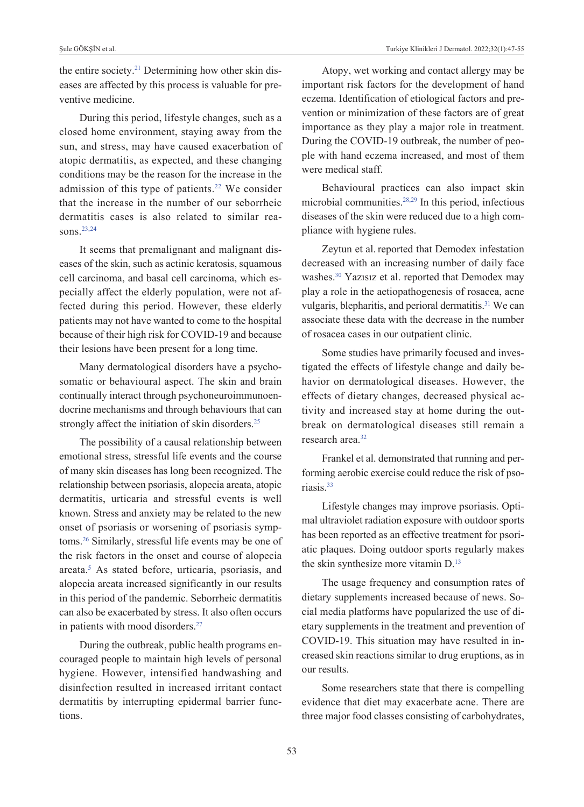the entire society.<sup>21</sup> Determining how other skin diseases are affected by this process is valuable for preventive medicine.

During this period, lifestyle changes, such as a closed home environment, staying away from the sun, and stress, may have caused exacerbation of atopic dermatitis, as expected, and these changing conditions may be the reason for the increase in the admission of this type of patients.<sup>22</sup> We consider that the increase in the number of our seborrheic dermatitis cases is also related to similar reasons.<sup>23,24</sup>

It seems that premalignant and malignant diseases of the skin, such as actinic keratosis, squamous cell carcinoma, and basal cell carcinoma, which especially affect the elderly population, were not affected during this period. However, these elderly patients may not have wanted to come to the hospital because of their high risk for COVID-19 and because their lesions have been present for a long time.

Many dermatological disorders have a psychosomatic or behavioural aspect. The skin and brain continually interact through psychoneuroimmunoendocrine mechanisms and through behaviours that can strongly affect the initiation of skin disorders.<sup>25</sup>

The possibility of a causal relationship between emotional stress, stressful life events and the course of many skin diseases has long been recognized. The relationship between psoriasis, alopecia areata, atopic dermatitis, urticaria and stressful events is well known. Stress and anxiety may be related to the new onset of psoriasis or worsening of psoriasis symptoms[.26](#page-8-0) Similarly, stressful life events may be one of the risk factors in the onset and course of alopecia areata[.5](#page-8-0) As stated before, urticaria, psoriasis, and alopecia areata increased significantly in our results in this period of the pandemic. Seborrheic dermatitis can also be exacerbated by stress. It also often occurs in patients with mood disorders.<sup>27</sup>

During the outbreak, public health programs encouraged people to maintain high levels of personal hygiene. However, intensified handwashing and disinfection resulted in increased irritant contact dermatitis by interrupting epidermal barrier functions.

Atopy, wet working and contact allergy may be important risk factors for the development of hand eczema. Identification of etiological factors and prevention or minimization of these factors are of great importance as they play a major role in treatment. During the COVID-19 outbreak, the number of people with hand eczema increased, and most of them were medical staff.

Behavioural practices can also impact skin microbial communities[.28,29](#page-8-0) In this period, infectious diseases of the skin were reduced due to a high compliance with hygiene rules.

Zeytun et al. reported that Demodex infestation decreased with an increasing number of daily face washes[.30](#page-8-0) Yazısız et al. reported that Demodex may play a role in the aetiopathogenesis of rosacea, acne vulgaris, blepharitis, and perioral dermatitis.<sup>31</sup> We can associate these data with the decrease in the number of rosacea cases in our outpatient clinic.

Some studies have primarily focused and investigated the effects of lifestyle change and daily behavior on dermatological diseases. However, the effects of dietary changes, decreased physical activity and increased stay at home during the outbreak on dermatological diseases still remain a research area<sup>32</sup>

Frankel et al. demonstrated that running and performing aerobic exercise could reduce the risk of psoriasis[.33](#page-8-0)

Lifestyle changes may improve psoriasis. Optimal ultraviolet radiation exposure with outdoor sports has been reported as an effective treatment for psoriatic plaques. Doing outdoor sports regularly makes the skin synthesize more vitamin D.<sup>13</sup>

The usage frequency and consumption rates of dietary supplements increased because of news. Social media platforms have popularized the use of dietary supplements in the treatment and prevention of COVID-19. This situation may have resulted in increased skin reactions similar to drug eruptions, as in our results.

Some researchers state that there is compelling evidence that diet may exacerbate acne. There are three major food classes consisting of carbohydrates,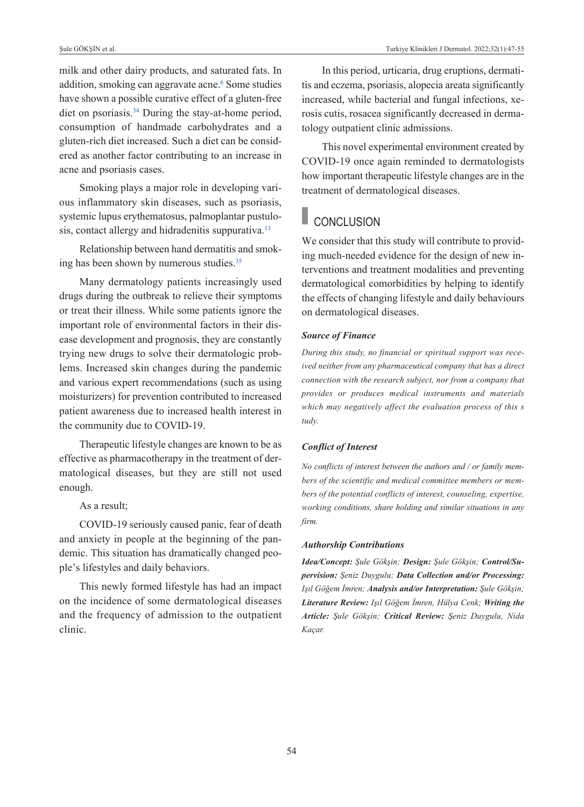milk and other dairy products, and saturated fats. In addition, smoking can aggravate acne.<sup>6</sup> Some studies have shown a possible curative effect of a gluten‐free diet on psoriasis.<sup>34</sup> During the stay-at-home period, consumption of handmade carbohydrates and a gluten-rich diet increased. Such a diet can be considered as another factor contributing to an increase in acne and psoriasis cases.

Smoking plays a major role in developing various inflammatory skin diseases, such as psoriasis, systemic lupus erythematosus, palmoplantar pustulosis, contact allergy and hidradenitis suppurativa.<sup>13</sup>

Relationship between hand dermatitis and smoking has been shown by numerous studies.<sup>35</sup>

Many dermatology patients increasingly used drugs during the outbreak to relieve their symptoms or treat their illness. While some patients ignore the important role of environmental factors in their disease development and prognosis, they are constantly trying new drugs to solve their dermatologic problems. Increased skin changes during the pandemic and various expert recommendations (such as using moisturizers) for prevention contributed to increased patient awareness due to increased health interest in the community due to COVID-19.

Therapeutic lifestyle changes are known to be as effective as pharmacotherapy in the treatment of dermatological diseases, but they are still not used enough.

As a result;

COVID-19 seriously caused panic, fear of death and anxiety in people at the beginning of the pandemic. This situation has dramatically changed people's lifestyles and daily behaviors.

This newly formed lifestyle has had an impact on the incidence of some dermatological diseases and the frequency of admission to the outpatient clinic.

In this period, urticaria, drug eruptions, dermatitis and eczema, psoriasis, alopecia areata significantly increased, while bacterial and fungal infections, xerosis cutis, rosacea significantly decreased in dermatology outpatient clinic admissions.

This novel experimental environment created by COVID-19 once again reminded to dermatologists how important therapeutic lifestyle changes are in the treatment of dermatological diseases.

## **CONCLUSION**

We consider that this study will contribute to providing much-needed evidence for the design of new interventions and treatment modalities and preventing dermatological comorbidities by helping to identify the effects of changing lifestyle and daily behaviours on dermatological diseases.

#### *Source of Finance*

*During this study, no financial or spiritual support was received neither from any pharmaceutical company that has a direct connection with the research subject, nor from a company that provides or produces medical instruments and materials which may negatively affect the evaluation process of this s tudy.* 

### *Conflict of Interest*

*No conflicts of interest between the authors and / or family members of the scientific and medical committee members or members of the potential conflicts of interest, counseling, expertise, working conditions, share holding and similar situations in any firm.* 

#### *Authorship Contributions*

*Idea/Concept: Şule Gökşin; Design: Şule Gökşin; Control/Supervision: Şeniz Duygulu; Data Collection and/or Processing: Işıl Göğem İmren; Analysis and/or Interpretation: Şule Gökşin; Literature Review: Işıl Göğem İmren, Hülya Cenk; Writing the Article: Şule Gökşin; Critical Review: Şeniz Duygulu, Nida Kaçar.*